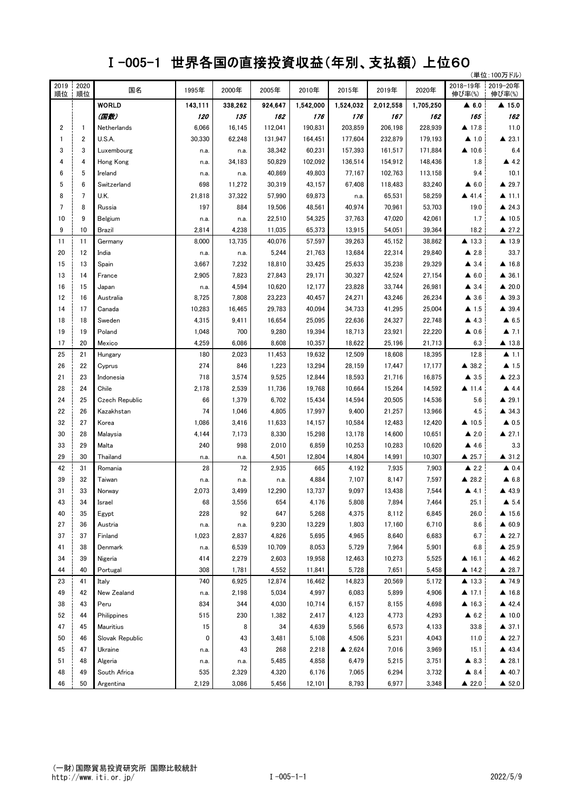## Ⅰ-005-1 世界各国の直接投資収益(年別、支払額) 上位60

|                |                |                       |                   |         |         |           |                   |           |           |                       | (単位:100万ドル)           |
|----------------|----------------|-----------------------|-------------------|---------|---------|-----------|-------------------|-----------|-----------|-----------------------|-----------------------|
| 2019<br>順位     | 2020<br>順位     | 国名                    | 1995年             | 2000年   | 2005年   | 2010年     | 2015年             | 2019年     | 2020年     | 2018-19年<br>伸び率(%)    | 2019-20年<br>伸び率(%)    |
|                |                | <b>WORLD</b>          | 143,111           | 338,262 | 924,647 | 1,542,000 | 1,524,032         | 2,012,558 | 1,705,250 | $\blacktriangle$ 6.0  | ▲ 15.0                |
|                |                | (国数)                  | <i><b>120</b></i> | 135     | 162     | 176       | 176               | 167       | 162       | 165                   | 162                   |
| $\overline{2}$ | $\mathbf{1}$   | Netherlands           | 6,066             | 16,145  | 112,041 | 190,831   | 203,859           | 206,198   | 228,939   | ▲ 17.8                | 11.0                  |
| -1             | 2              | U.S.A.                | 30,330            | 62,248  | 131,947 | 164,451   | 177,604           | 232,879   | 179,193   | $\blacktriangle$ 1.0  | $\triangle$ 23.1      |
| 3              | 3              | Luxembourg            | n.a.              | n.a.    | 38,342  | 60,231    | 157,393           | 161,517   | 171,884   | $\triangle$ 10.6      | 6.4                   |
| 4              | 4              | Hong Kong             | n.a.              | 34,183  | 50,829  | 102,092   | 136,514           | 154,912   | 148,436   | 1.8                   | $\triangle$ 4.2       |
| 6              | 5              | Ireland               | n.a.              | n.a.    | 40,869  | 49,803    | 77,167            | 102,763   | 113,158   | 9.4                   | 10.1                  |
| 5              | 6              | Switzerland           | 698               | 11,272  | 30,319  | 43,157    | 67,408            | 118,483   | 83,240    | $\blacktriangle$ 6.0  | ▲ 29.7                |
| 8              | $\overline{7}$ | U.K.                  | 21,818            | 37,322  | 57,990  | 69,873    | n.a.              | 65,531    | 58,259    | ▲ 41.4                | $\blacktriangle$ 11.1 |
| 7              | 8              | Russia                | 197               | 884     | 19,506  | 48,561    | 40,974            | 70,961    | 53,703    | 19.0                  | $\triangle$ 24.3      |
| 10             | 9              | Belgium               | n.a.              | n.a.    | 22,510  | 54,325    | 37,763            | 47,020    | 42,061    | 1.7                   | $\triangle$ 10.5      |
| 9              | 10             | Brazil                | 2,814             | 4,238   | 11,035  | 65,373    | 13,915            | 54,051    | 39,364    | 18.2                  | ▲ 27.2                |
| 11             | 11             | Germany               | 8,000             | 13,735  | 40,076  | 57,597    | 39,263            | 45,152    | 38,862    | ▲ 13.3                | ▲ 13.9                |
| 20             | 12             | India                 | n.a.              | n.a.    | 5,244   | 21,763    | 13,684            | 22,314    | 29,840    | $\triangle$ 2.8       | 33.7                  |
| 15             | 13             | Spain                 | 3,667             | 7,232   | 18,810  | 33,425    | 25,633            | 35,238    | 29,329    | $\triangle$ 3.4       | ▲ 16.8                |
| 13             | 14             | France                | 2,905             | 7,823   | 27,843  | 29,171    | 30,327            | 42,524    | 27,154    | $\triangle$ 6.0       | $\triangle$ 36.1      |
| 16             | 15             | Japan                 | n.a.              | 4,594   | 10.620  | 12,177    | 23,828            | 33,744    | 26,981    | $\triangle$ 3.4       | $\triangle$ 20.0      |
| 12             | 16             | Australia             | 8,725             | 7,808   | 23,223  | 40,457    | 24,271            | 43,246    | 26,234    | $\triangle$ 3.6       | ▲ 39.3                |
| 14             | 17             | Canada                | 10,283            | 16,465  | 29,783  | 40,094    | 34,733            | 41,295    | 25,004    | $\blacktriangle$ 1.5  | ▲ 39.4                |
| 18             | 18             | Sweden                | 4,315             | 9,411   | 16,654  | 25,095    | 22,636            | 24,327    | 22,748    | $\blacktriangle$ 4.3  | $\triangle$ 6.5       |
| 19             | 19             | Poland                | 1,048             | 700     | 9,280   | 19,394    | 18,713            | 23,921    | 22,220    | $\triangle$ 0.6       | $\blacktriangle$ 7.1  |
| 17             | 20             | Mexico                | 4,259             | 6,086   | 8,608   | 10,357    | 18,622            | 25,196    | 21,713    | 6.3                   | ▲ 13.8                |
| 25             | 21             | Hungary               | 180               | 2,023   | 11,453  | 19,632    | 12,509            | 18,608    | 18,395    | 12.8                  | $\blacktriangle$ 1.1  |
| 26             | 22             | Cyprus                | 274               | 846     | 1,223   | 13,294    | 28,159            | 17,447    | 17,177    | ▲ 38.2                | $\blacktriangle$ 1.5  |
| 21             | 23             | Indonesia             | 718               | 3,574   | 9,525   | 12,844    | 18,593            | 21,716    | 16,875    | $\blacktriangle$ 3.5  | ▲ 22.3                |
| 28             | 24             | Chile                 | 2,178             | 2,539   | 11,736  | 19,768    | 10,664            | 15,264    | 14,592    | $\triangle$ 11.4      | $\blacktriangle$ 4.4  |
| 24             | 25             | <b>Czech Republic</b> | 66                | 1,379   | 6,702   | 15,434    | 14,594            | 20,505    | 14,536    | 5.6                   | ▲ 29.1                |
| 22             | 26             | Kazakhstan            | 74                | 1,046   | 4,805   | 17,997    | 9,400             | 21,257    | 13,966    | 4.5                   | ▲ 34.3                |
| 32             | 27             | Korea                 | 1,086             | 3,416   | 11,633  | 14,157    | 10,584            | 12,483    | 12,420    | $\triangle$ 10.5      | $\triangle$ 0.5       |
| 30             | 28             | Malaysia              | 4,144             | 7,173   | 8,330   | 15,298    | 13,178            | 14,600    | 10,651    | $\triangle$ 2.0       | ▲ 27.1                |
| 33             | 29             | Malta                 | 240               | 998     | 2,010   | 6,859     | 10,253            | 10,283    | 10,620    | $\blacktriangle$ 4.6  | 3.3                   |
| 29             | 30             | Thailand              | n.a.              | n.a.    | 4,501   | 12,804    | 14,804            | 14,991    | 10,307    | $\triangle$ 25.7      | ▲ 31.2                |
| 42             | 31             | Romania               | 28                | 72      | 2,935   | 665       | 4,192             | 7,935     | 7,903     | $\triangle$ 2.2       | $\triangle$ 0.4       |
| 39             | 32             | Taiwan                | n.a.              | n.a.    | n.a.    | 4,884     | 7,107             | 8,147     | 7,597     | ▲ 28.2                | $\triangle$ 6.8       |
| 31             | 33             | Norway                | 2,073             | 3,499   | 12,290  | 13,737    | 9,097             | 13,438    | 7,544     | $\blacktriangle$ 4.1  | ▲ 43.9                |
| 43             | 34             | Israel                | 68                | 3,556   | 654     | 4,176     | 5,808             | 7,894     | 7,464     | 25.1                  | $\triangle$ 5.4       |
| 40             | 35             | Egypt                 | 228               | 92      | 647     | 5,268     | 4,375             | 8,112     | 6,845     | 26.0                  | $\triangle$ 15.6      |
| 27             | 36             | Austria               | n.a.              | n.a.    | 9,230   | 13,229    | 1,803             | 17,160    | 6,710     | 8.6                   | $\triangle$ 60.9      |
| 37             | 37             | Finland               | 1,023             | 2,837   | 4,826   | 5,695     | 4,965             | 8,640     | 6,683     | 6.7                   | $\triangle$ 22.7      |
| 41             | 38             | Denmark               | n.a.              | 6,539   | 10,709  | 8,053     | 5,729             | 7,964     | 5,901     | 6.8                   | $\triangle$ 25.9      |
| 34             | 39             | Nigeria               | 414               | 2,279   | 2,603   | 19,958    | 12,463            | 10,273    | 5,525     | $\blacktriangle$ 16.1 | ▲ 46.2                |
| 44             | 40             | Portugal              | 308               | 1,781   | 4,552   | 11,841    | 5,728             | 7,651     | 5,458     | $\triangle$ 14.2      | $\triangle$ 28.7      |
| 23             | 41             | Italy                 | 740               | 6,925   | 12,874  | 16,462    | 14,823            | 20,569    | 5,172     | $\triangle$ 13.3      | ▲ 74.9                |
| 49             | 42             | New Zealand           | n.a.              | 2,198   | 5,034   | 4,997     | 6,083             | 5,899     | 4,906     | $\triangle$ 17.1      | $\triangle$ 16.8      |
| 38             | 43             | Peru                  | 834               | 344     | 4,030   | 10,714    | 6,157             | 8,155     | 4,698     | $\triangle$ 16.3      | 42.4                  |
| 52             | 44             | Philippines           | 515               | 230     | 1,382   | 2,417     | 4,123             | 4,773     | 4,293     | $\triangle$ 6.2       | $\triangle$ 10.0      |
| 47             | 45             | Mauritius             | 15                | 8       | 34      | 4,639     | 5,566             | 6,573     | 4,133     | 33.8                  | $\triangle$ 37.1      |
| 50             | 46             | Slovak Republic       | 0                 | 43      | 3,481   | 5,108     | 4,506             | 5,231     | 4,043     | 11.0                  | $\triangle$ 22.7      |
| 45             | 47             | Ukraine               | n.a.              | 43      | 268     | 2,218     | $\triangle$ 2,624 | 7,016     | 3,969     | 15.1                  | ▲ 43.4                |
| 51             | 48             | Algeria               | n.a.              | n.a.    | 5,485   | 4,858     | 6,479             | 5,215     | 3,751     | $\triangle$ 8.3       | ▲ 28.1                |
| 48             | 49             | South Africa          | 535               | 2,329   | 4,320   | 6,176     | 7,065             | 6,294     | 3,732     | $\triangle$ 8.4       | $\triangle$ 40.7      |
| 46             | 50             | Argentina             | 2,129             | 3,086   | 5,456   | 12,101    | 8,793             | 6,977     | 3,348     | $\triangle$ 22.0      | $\triangle$ 52.0      |